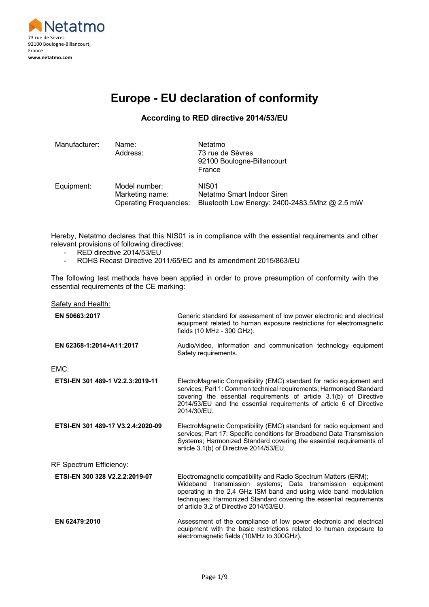

# **Europe - EU declaration of conformity**

#### **According to RED directive 2014/53/EU**

| Manufacturer: | Name:<br>Address:                                                 | Netatmo<br>73 rue de Sèvres<br>92100 Boulogne-Billancourt<br>France                              |
|---------------|-------------------------------------------------------------------|--------------------------------------------------------------------------------------------------|
| Equipment:    | Model number:<br>Marketing name:<br><b>Operating Frequencies:</b> | NIS <sub>01</sub><br>Netatmo Smart Indoor Siren<br>Bluetooth Low Energy: 2400-2483.5Mhz @ 2.5 mW |

Hereby, Netatmo declares that this NIS01 is in compliance with the essential requirements and other relevant provisions of following directives:

- RED directive 2014/53/EU
- ROHS Recast Directive 2011/65/EC and its amendment 2015/863/EU

The following test methods have been applied in order to prove presumption of conformity with the essential requirements of the CE marking:

| <b>Safety and Health:</b>         |                                                                                                                                                                                                                                                                                                                     |
|-----------------------------------|---------------------------------------------------------------------------------------------------------------------------------------------------------------------------------------------------------------------------------------------------------------------------------------------------------------------|
| EN 50663:2017                     | Generic standard for assessment of low power electronic and electrical<br>equipment related to human exposure restrictions for electromagnetic<br>fields (10 MHz - 300 GHz).                                                                                                                                        |
| EN 62368-1:2014+A11:2017          | Audio/video, information and communication technology equipment<br>Safety requirements.                                                                                                                                                                                                                             |
| EMC:                              |                                                                                                                                                                                                                                                                                                                     |
| ETSI-EN 301 489-1 V2.2.3:2019-11  | ElectroMagnetic Compatibility (EMC) standard for radio equipment and<br>services; Part 1: Common technical requirements; Harmonised Standard<br>covering the essential requirements of article 3.1(b) of Directive<br>2014/53/EU and the essential requirements of article 6 of Directive<br>2014/30/EU.            |
| ETSI-EN 301 489-17 V3.2.4:2020-09 | ElectroMagnetic Compatibility (EMC) standard for radio equipment and<br>services; Part 17: Specific conditions for Broadband Data Transmission<br>Systems; Harmonized Standard covering the essential requirements of<br>article 3.1(b) of Directive 2014/53/EU.                                                    |
| <b>RF Spectrum Efficiency:</b>    |                                                                                                                                                                                                                                                                                                                     |
| ETSI-EN 300 328 V2.2.2:2019-07    | Electromagnetic compatibility and Radio Spectrum Matters (ERM);<br>Wideband transmission systems; Data transmission equipment<br>operating in the 2,4 GHz ISM band and using wide band modulation<br>techniques; Harmonized Standard covering the essential requirements<br>of article 3.2 of Directive 2014/53/EU. |
| EN 62479:2010                     | Assessment of the compliance of low power electronic and electrical<br>equipment with the basic restrictions related to human exposure to<br>electromagnetic fields (10MHz to 300GHz).                                                                                                                              |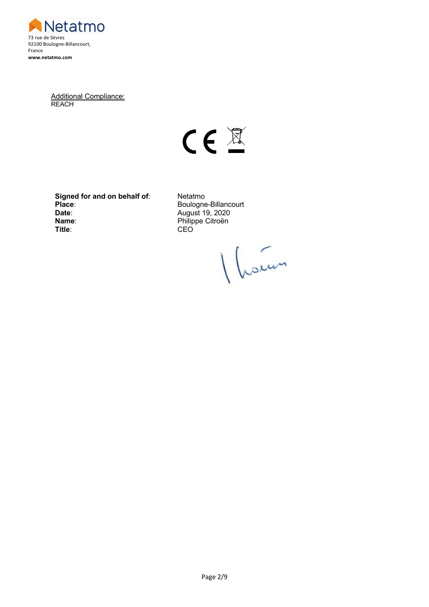

Additional Compliance: **REACH** 



**Signed for and on behalf of:** Netatmo<br>Place: Boulogne **Date:** August 19, 2020<br> **Name:** Philippe Citroën **Name:** Philippe Citroën<br> **Title:** CEO

**Place**: Boulogne-Billancourt **Title**: CEO

Vloien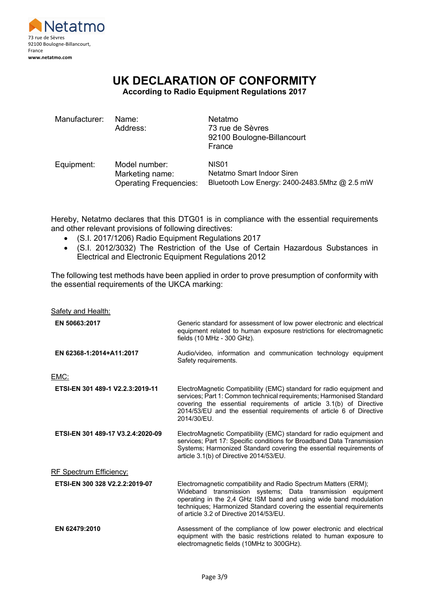

# **UK DECLARATION OF CONFORMITY**

**According to Radio Equipment Regulations 2017**

| Manufacturer: | Name:<br>Address:                                                 | Netatmo<br>73 rue de Sèvres<br>92100 Boulogne-Billancourt<br>France                              |
|---------------|-------------------------------------------------------------------|--------------------------------------------------------------------------------------------------|
| Equipment:    | Model number:<br>Marketing name:<br><b>Operating Frequencies:</b> | NIS <sub>01</sub><br>Netatmo Smart Indoor Siren<br>Bluetooth Low Energy: 2400-2483.5Mhz @ 2.5 mW |

Hereby, Netatmo declares that this DTG01 is in compliance with the essential requirements and other relevant provisions of following directives:

- (S.I. 2017/1206) Radio Equipment Regulations 2017
- (S.I. 2012/3032) The Restriction of the Use of Certain Hazardous Substances in Electrical and Electronic Equipment Regulations 2012

The following test methods have been applied in order to prove presumption of conformity with the essential requirements of the UKCA marking:

| Safety and Health:                |                                                                                                                                                                                                                                                                                                                     |
|-----------------------------------|---------------------------------------------------------------------------------------------------------------------------------------------------------------------------------------------------------------------------------------------------------------------------------------------------------------------|
| EN 50663:2017                     | Generic standard for assessment of low power electronic and electrical<br>equipment related to human exposure restrictions for electromagnetic<br>fields (10 MHz - 300 GHz).                                                                                                                                        |
| EN 62368-1:2014+A11:2017          | Audio/video, information and communication technology equipment<br>Safety requirements.                                                                                                                                                                                                                             |
| EMC:                              |                                                                                                                                                                                                                                                                                                                     |
| ETSI-EN 301 489-1 V2.2.3:2019-11  | ElectroMagnetic Compatibility (EMC) standard for radio equipment and<br>services; Part 1: Common technical requirements; Harmonised Standard<br>covering the essential requirements of article 3.1(b) of Directive<br>2014/53/EU and the essential requirements of article 6 of Directive<br>2014/30/EU.            |
| ETSI-EN 301 489-17 V3.2.4:2020-09 | ElectroMagnetic Compatibility (EMC) standard for radio equipment and<br>services; Part 17: Specific conditions for Broadband Data Transmission<br>Systems; Harmonized Standard covering the essential requirements of<br>article 3.1(b) of Directive 2014/53/EU.                                                    |
| RF Spectrum Efficiency:           |                                                                                                                                                                                                                                                                                                                     |
| ETSI-EN 300 328 V2.2.2:2019-07    | Electromagnetic compatibility and Radio Spectrum Matters (ERM);<br>Wideband transmission systems; Data transmission equipment<br>operating in the 2,4 GHz ISM band and using wide band modulation<br>techniques; Harmonized Standard covering the essential requirements<br>of article 3.2 of Directive 2014/53/EU. |
| EN 62479:2010                     | Assessment of the compliance of low power electronic and electrical<br>equipment with the basic restrictions related to human exposure to<br>electromagnetic fields (10MHz to 300GHz).                                                                                                                              |
|                                   |                                                                                                                                                                                                                                                                                                                     |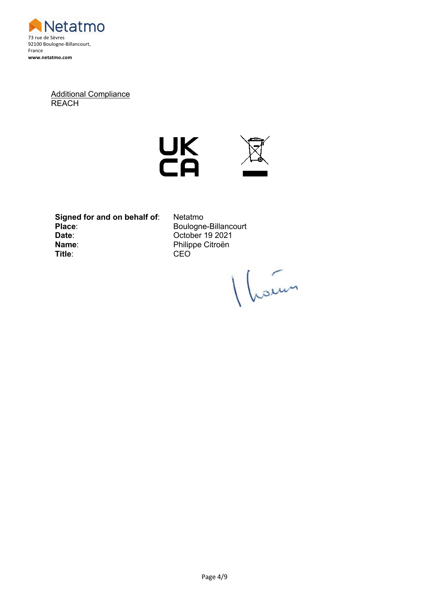

Additional Compliance **REACH** 





**Signed for and on behalf of:** Netatmo<br>Place: Boulogne **Date**: October 19 2021 **Name**: Philippe Citroën **Title**: CEO

**Place**: Boulogne-Billancourt

1 hours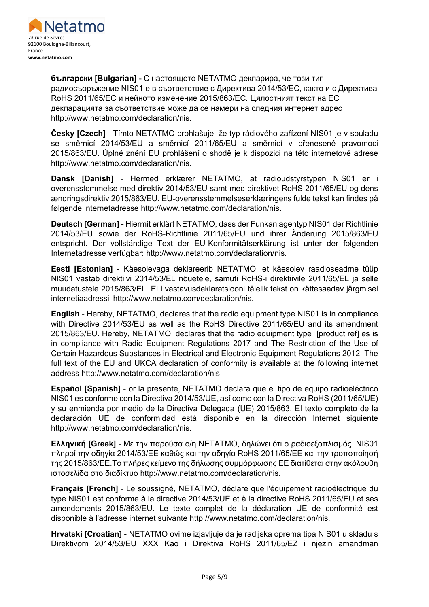

**български [Bulgarian] -** С настоящото NETATMO декларира, че този тип радиосъоръжение NIS01 е в съответствие с Директива 2014/53/ЕС, както и с Директива RoHS 2011/65/ЕС и нейното изменение 2015/863/ЕС. Цялостният текст на ЕС декларацията за съответствие може да се намери на следния интернет адрес http://www.netatmo.com/declaration/nis.

**Česky [Czech]** - Tímto NETATMO prohlašuje, že typ rádiového zařízení NIS01 je v souladu se směrnicí 2014/53/EU a směrnicí 2011/65/EU a směrnicí v přenesené pravomoci 2015/863/EU. Úplné znění EU prohlášení o shodě je k dispozici na této internetové adrese http://www.netatmo.com/declaration/nis.

**Dansk [Danish]** - Hermed erklærer NETATMO, at radioudstyrstypen NIS01 er i overensstemmelse med direktiv 2014/53/EU samt med direktivet RoHS 2011/65/EU og dens ændringsdirektiv 2015/863/EU. EU-overensstemmelseserklæringens fulde tekst kan findes på følgende internetadresse http://www.netatmo.com/declaration/nis.

**Deutsch [German]** - Hiermit erklärt NETATMO, dass der Funkanlagentyp NIS01 der Richtlinie 2014/53/EU sowie der RoHS-Richtlinie 2011/65/EU und ihrer Änderung 2015/863/EU entspricht. Der vollständige Text der EU-Konformitätserklärung ist unter der folgenden Internetadresse verfügbar: http://www.netatmo.com/declaration/nis.

**Eesti [Estonian]** - Käesolevaga deklareerib NETATMO, et käesolev raadioseadme tüüp NIS01 vastab direktiivi 2014/53/EL nõuetele, samuti RoHS-i direktiivile 2011/65/EL ja selle muudatustele 2015/863/EL. ELi vastavusdeklaratsiooni täielik tekst on kättesaadav järgmisel internetiaadressil http://www.netatmo.com/declaration/nis.

**English** - Hereby, NETATMO, declares that the radio equipment type NIS01 is in compliance with Directive 2014/53/EU as well as the RoHS Directive 2011/65/EU and its amendment 2015/863/EU. Hereby, NETATMO, declares that the radio equipment type [product ref] es is in compliance with Radio Equipment Regulations 2017 and The Restriction of the Use of Certain Hazardous Substances in Electrical and Electronic Equipment Regulations 2012. The full text of the EU and UKCA declaration of conformity is available at the following internet address http://www.netatmo.com/declaration/nis.

**Español [Spanish]** - or la presente, NETATMO declara que el tipo de equipo radioeléctrico NIS01 es conforme con la Directiva 2014/53/UE, así como con la Directiva RoHS (2011/65/UE) y su enmienda por medio de la Directiva Delegada (UE) 2015/863. El texto completo de la declaración UE de conformidad está disponible en la dirección Internet siguiente http://www.netatmo.com/declaration/nis.

**Ελληνική [Greek]** - Με την παρούσα ο/η NETATMO, δηλώνει ότι ο ραδιοεξοπλισμός NIS01 πληροί την οδηγία 2014/53/ΕΕ καθώς και την οδηγία RoHS 2011/65/EΕ και την τροποποίησή της 2015/863/EΕ.Το πλήρες κείμενο της δήλωσης συμμόρφωσης ΕΕ διατίθεται στην ακόλουθη ιστοσελίδα στο διαδίκτυο http://www.netatmo.com/declaration/nis.

**Français [French]** - Le soussigné, NETATMO, déclare que l'équipement radioélectrique du type NIS01 est conforme à la directive 2014/53/UE et à la directive RoHS 2011/65/EU et ses amendements 2015/863/EU. Le texte complet de la déclaration UE de conformité est disponible à l'adresse internet suivante http://www.netatmo.com/declaration/nis.

**Hrvatski [Croatian]** - NETATMO ovime izjavljuje da je radijska oprema tipa NIS01 u skladu s Direktivom 2014/53/EU XXX Kao i Direktiva RoHS 2011/65/EZ i njezin amandman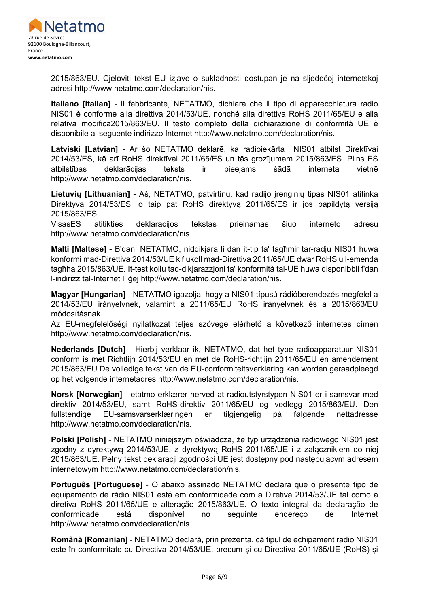

2015/863/EU. Cjeloviti tekst EU izjave o sukladnosti dostupan je na sljedećoj internetskoj adresi http://www.netatmo.com/declaration/nis.

**Italiano [Italian]** - Il fabbricante, NETATMO, dichiara che il tipo di apparecchiatura radio NIS01 è conforme alla direttiva 2014/53/UE, nonché alla direttiva RoHS 2011/65/EU e alla relativa modifica2015/863/EU. Il testo completo della dichiarazione di conformità UE è disponibile al seguente indirizzo Internet http://www.netatmo.com/declaration/nis.

**Latviski [Latvian]** - Ar šo NETATMO deklarē, ka radioiekārta NIS01 atbilst Direktīvai 2014/53/ES, kā arī RoHS direktīvai 2011/65/ES un tās grozījumam 2015/863/ES. Pilns ES atbilstības deklarācijas teksts ir pieejams šādā interneta vietnē http://www.netatmo.com/declaration/nis.

**Lietuvių [Lithuanian]** - Aš, NETATMO, patvirtinu, kad radijo įrenginių tipas NIS01 atitinka Direktyvą 2014/53/ES, o taip pat RoHS direktyvą 2011/65/ES ir jos papildytą versiją 2015/863/ES.

VisasES atitikties deklaracijos tekstas prieinamas šiuo interneto adresu http://www.netatmo.com/declaration/nis.

**Malti [Maltese]** - B'dan, NETATMO, niddikjara li dan it-tip ta' tagħmir tar-radju NIS01 huwa konformi mad-Direttiva 2014/53/UE kif ukoll mad-Direttiva 2011/65/UE dwar RoHS u l-emenda tagħha 2015/863/UE. It-test kollu tad-dikjarazzjoni ta' konformità tal-UE huwa disponibbli f'dan l-indirizz tal-Internet li ġej http://www.netatmo.com/declaration/nis.

**Magyar [Hungarian]** - NETATMO igazolja, hogy a NIS01 típusú rádióberendezés megfelel a 2014/53/EU irányelvnek, valamint a 2011/65/EU RoHS irányelvnek és a 2015/863/EU módosításnak.

Az EU-megfelelőségi nyilatkozat teljes szövege elérhető a következő internetes címen http://www.netatmo.com/declaration/nis.

**Nederlands [Dutch]** - Hierbij verklaar ik, NETATMO, dat het type radioapparatuur NIS01 conform is met Richtlijn 2014/53/EU en met de RoHS-richtlijn 2011/65/EU en amendement 2015/863/EU.De volledige tekst van de EU-conformiteitsverklaring kan worden geraadpleegd op het volgende internetadres http://www.netatmo.com/declaration/nis.

**Norsk [Norwegian]** - etatmo erklærer herved at radioutstyrstypen NIS01 er i samsvar med direktiv 2014/53/EU, samt RoHS-direktiv 2011/65/EU og vedlegg 2015/863/EU. Den fullstendige EU-samsvarserklæringen er tilgjengelig på følgende nettadresse http://www.netatmo.com/declaration/nis.

**Polski [Polish]** - NETATMO niniejszym oświadcza, że typ urządzenia radiowego NIS01 jest zgodny z dyrektywą 2014/53/UE, z dyrektywą RoHS 2011/65/UE i z załącznikiem do niej 2015/863/UE. Pełny tekst deklaracji zgodności UE jest dostępny pod następującym adresem internetowym http://www.netatmo.com/declaration/nis.

**Português [Portuguese]** - O abaixo assinado NETATMO declara que o presente tipo de equipamento de rádio NIS01 está em conformidade com a Diretiva 2014/53/UE tal como a diretiva RoHS 2011/65/UE e alteração 2015/863/UE. O texto integral da declaração de conformidade está disponível no seguinte endereço de Internet http://www.netatmo.com/declaration/nis.

**Română [Romanian]** - NETATMO declară, prin prezenta, că tipul de echipament radio NIS01 este în conformitate cu Directiva 2014/53/UE, precum și cu Directiva 2011/65/UE (RoHS) și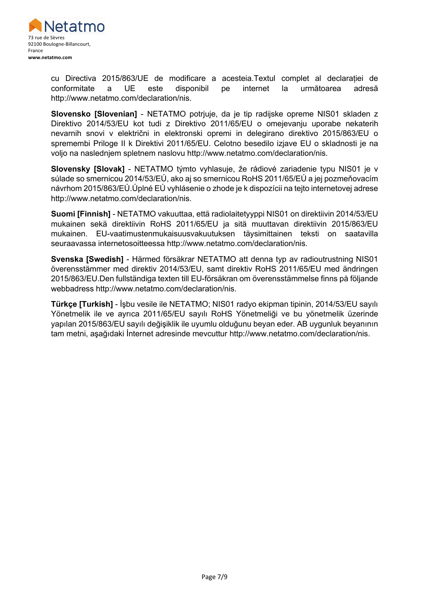

cu Directiva 2015/863/UE de modificare a acesteia.Textul complet al declarației de conformitate a UE este disponibil pe internet la următoarea adresă http://www.netatmo.com/declaration/nis.

**Slovensko [Slovenian]** - NETATMO potrjuje, da je tip radijske opreme NIS01 skladen z Direktivo 2014/53/EU kot tudi z Direktivo 2011/65/EU o omejevanju uporabe nekaterih nevarnih snovi v električni in elektronski opremi in delegirano direktivo 2015/863/EU o spremembi Priloge II k Direktivi 2011/65/EU. Celotno besedilo izjave EU o skladnosti je na voljo na naslednjem spletnem naslovu http://www.netatmo.com/declaration/nis.

**Slovensky [Slovak]** - NETATMO týmto vyhlasuje, že rádiové zariadenie typu NIS01 je v súlade so smernicou 2014/53/EÚ, ako aj so smernicou RoHS 2011/65/EÚ a jej pozmeňovacím návrhom 2015/863/EÚ.Úplné EÚ vyhlásenie o zhode je k dispozícii na tejto internetovej adrese http://www.netatmo.com/declaration/nis.

**Suomi [Finnish]** - NETATMO vakuuttaa, että radiolaitetyyppi NIS01 on direktiivin 2014/53/EU mukainen sekä direktiivin RoHS 2011/65/EU ja sitä muuttavan direktiivin 2015/863/EU mukainen. EU-vaatimustenmukaisuusvakuutuksen täysimittainen teksti on saatavilla seuraavassa internetosoitteessa http://www.netatmo.com/declaration/nis.

**Svenska [Swedish]** - Härmed försäkrar NETATMO att denna typ av radioutrustning NIS01 överensstämmer med direktiv 2014/53/EU, samt direktiv RoHS 2011/65/EU med ändringen 2015/863/EU.Den fullständiga texten till EU-försäkran om överensstämmelse finns på följande webbadress http://www.netatmo.com/declaration/nis.

**Türkçe [Turkish]** - İşbu vesile ile NETATMO; NIS01 radyo ekipman tipinin, 2014/53/EU sayılı Yönetmelik ile ve ayrıca 2011/65/EU sayılı RoHS Yönetmeliği ve bu yönetmelik üzerinde yapılan 2015/863/EU sayılı değişiklik ile uyumlu olduğunu beyan eder. AB uygunluk beyanının tam metni, aşağıdaki İnternet adresinde mevcuttur http://www.netatmo.com/declaration/nis.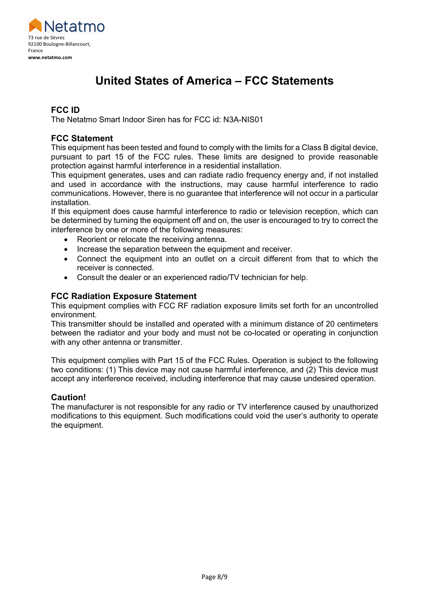

## **United States of America – FCC Statements**

### **FCC ID**

The Netatmo Smart Indoor Siren has for FCC id: N3A-NIS01

### **FCC Statement**

This equipment has been tested and found to comply with the limits for a Class B digital device, pursuant to part 15 of the FCC rules. These limits are designed to provide reasonable protection against harmful interference in a residential installation.

This equipment generates, uses and can radiate radio frequency energy and, if not installed and used in accordance with the instructions, may cause harmful interference to radio communications. However, there is no guarantee that interference will not occur in a particular installation.

If this equipment does cause harmful interference to radio or television reception, which can be determined by turning the equipment off and on, the user is encouraged to try to correct the interference by one or more of the following measures:

- Reorient or relocate the receiving antenna.
- Increase the separation between the equipment and receiver.
- Connect the equipment into an outlet on a circuit different from that to which the receiver is connected.
- Consult the dealer or an experienced radio/TV technician for help.

### **FCC Radiation Exposure Statement**

This equipment complies with FCC RF radiation exposure limits set forth for an uncontrolled environment.

This transmitter should be installed and operated with a minimum distance of 20 centimeters between the radiator and your body and must not be co-located or operating in conjunction with any other antenna or transmitter.

This equipment complies with Part 15 of the FCC Rules. Operation is subject to the following two conditions: (1) This device may not cause harmful interference, and (2) This device must accept any interference received, including interference that may cause undesired operation.

### **Caution!**

The manufacturer is not responsible for any radio or TV interference caused by unauthorized modifications to this equipment. Such modifications could void the user's authority to operate the equipment.